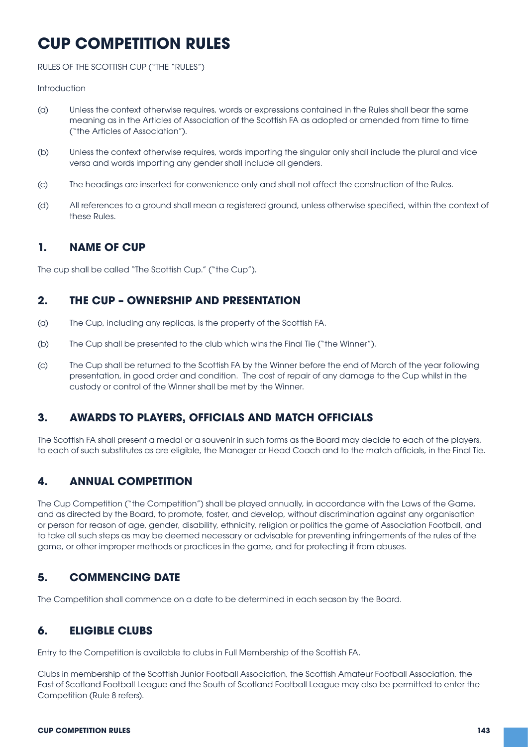# **CUP COMPETITION RULES**

RULES OF THE SCOTTISH CUP ("THE "RULES")

#### **Introduction**

- (a) Unless the context otherwise requires, words or expressions contained in the Rules shall bear the same meaning as in the Articles of Association of the Scottish FA as adopted or amended from time to time ("the Articles of Association").
- (b) Unless the context otherwise requires, words importing the singular only shall include the plural and vice versa and words importing any gender shall include all genders.
- (c) The headings are inserted for convenience only and shall not affect the construction of the Rules.
- (d) All references to a ground shall mean a registered ground, unless otherwise specified, within the context of these Rules.

# **1. NAME OF CUP**

The cup shall be called "The Scottish Cup." ("the Cup").

### **2. THE CUP – OWNERSHIP AND PRESENTATION**

- (a) The Cup, including any replicas, is the property of the Scottish FA.
- (b) The Cup shall be presented to the club which wins the Final Tie ("the Winner").
- (c) The Cup shall be returned to the Scottish FA by the Winner before the end of March of the year following presentation, in good order and condition. The cost of repair of any damage to the Cup whilst in the custody or control of the Winner shall be met by the Winner.

# **3. AWARDS TO PLAYERS, OFFICIALS AND MATCH OFFICIALS**

The Scottish FA shall present a medal or a souvenir in such forms as the Board may decide to each of the players, to each of such substitutes as are eligible, the Manager or Head Coach and to the match officials, in the Final Tie.

# **4. ANNUAL COMPETITION**

The Cup Competition ("the Competition") shall be played annually, in accordance with the Laws of the Game, and as directed by the Board, to promote, foster, and develop, without discrimination against any organisation or person for reason of age, gender, disability, ethnicity, religion or politics the game of Association Football, and to take all such steps as may be deemed necessary or advisable for preventing infringements of the rules of the game, or other improper methods or practices in the game, and for protecting it from abuses.

# **5. COMMENCING DATE**

The Competition shall commence on a date to be determined in each season by the Board.

# **6. ELIGIBLE CLUBS**

Entry to the Competition is available to clubs in Full Membership of the Scottish FA.

Clubs in membership of the Scottish Junior Football Association, the Scottish Amateur Football Association, the East of Scotland Football League and the South of Scotland Football League may also be permitted to enter the Competition (Rule 8 refers).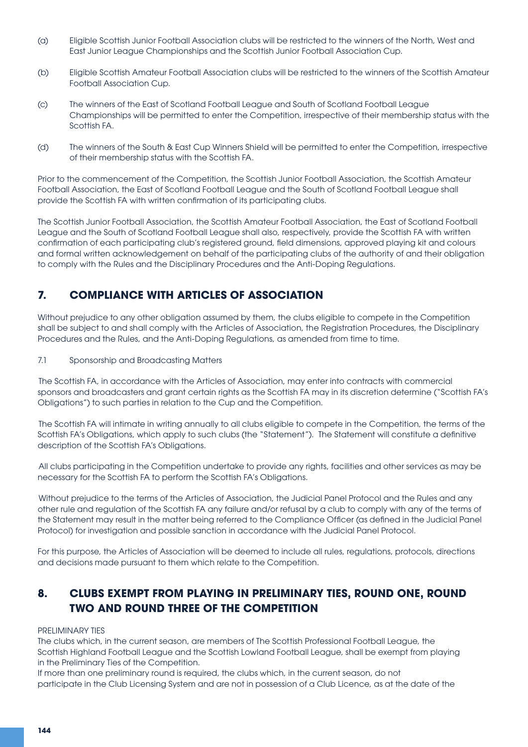- (a) Eligible Scottish Junior Football Association clubs will be restricted to the winners of the North, West and East Junior League Championships and the Scottish Junior Football Association Cup.
- (b) Eligible Scottish Amateur Football Association clubs will be restricted to the winners of the Scottish Amateur Football Association Cup.
- (c) The winners of the East of Scotland Football League and South of Scotland Football League Championships will be permitted to enter the Competition, irrespective of their membership status with the Scottish FA.
- (d) The winners of the South & East Cup Winners Shield will be permitted to enter the Competition, irrespective of their membership status with the Scottish FA.

Prior to the commencement of the Competition, the Scottish Junior Football Association, the Scottish Amateur Football Association, the East of Scotland Football League and the South of Scotland Football League shall provide the Scottish FA with written confirmation of its participating clubs.

The Scottish Junior Football Association, the Scottish Amateur Football Association, the East of Scotland Football League and the South of Scotland Football League shall also, respectively, provide the Scottish FA with written confirmation of each participating club's registered ground, field dimensions, approved playing kit and colours and formal written acknowledgement on behalf of the participating clubs of the authority of and their obligation to comply with the Rules and the Disciplinary Procedures and the Anti-Doping Regulations.

# **7. COMPLIANCE WITH ARTICLES OF ASSOCIATION**

Without prejudice to any other obligation assumed by them, the clubs eligible to compete in the Competition shall be subject to and shall comply with the Articles of Association, the Registration Procedures, the Disciplinary Procedures and the Rules, and the Anti-Doping Regulations, as amended from time to time.

#### 7.1 Sponsorship and Broadcasting Matters

The Scottish FA, in accordance with the Articles of Association, may enter into contracts with commercial sponsors and broadcasters and grant certain rights as the Scottish FA may in its discretion determine ("Scottish FA's Obligations") to such parties in relation to the Cup and the Competition.

The Scottish FA will intimate in writing annually to all clubs eligible to compete in the Competition, the terms of the Scottish FA's Obligations, which apply to such clubs (the "Statement"). The Statement will constitute a definitive description of the Scottish FA's Obligations.

All clubs participating in the Competition undertake to provide any rights, facilities and other services as may be necessary for the Scottish FA to perform the Scottish FA's Obligations.

 Without prejudice to the terms of the Articles of Association, the Judicial Panel Protocol and the Rules and any other rule and regulation of the Scottish FA any failure and/or refusal by a club to comply with any of the terms of the Statement may result in the matter being referred to the Compliance Officer (as defined in the Judicial Panel Protocol) for investigation and possible sanction in accordance with the Judicial Panel Protocol.

For this purpose, the Articles of Association will be deemed to include all rules, regulations, protocols, directions and decisions made pursuant to them which relate to the Competition.

# **8. CLUBS EXEMPT FROM PLAYING IN PRELIMINARY TIES, ROUND ONE, ROUND TWO AND ROUND THREE OF THE COMPETITION**

#### PRELIMINARY TIES

The clubs which, in the current season, are members of The Scottish Professional Football League, the Scottish Highland Football League and the Scottish Lowland Football League, shall be exempt from playing in the Preliminary Ties of the Competition.

If more than one preliminary round is required, the clubs which, in the current season, do not participate in the Club Licensing System and are not in possession of a Club Licence, as at the date of the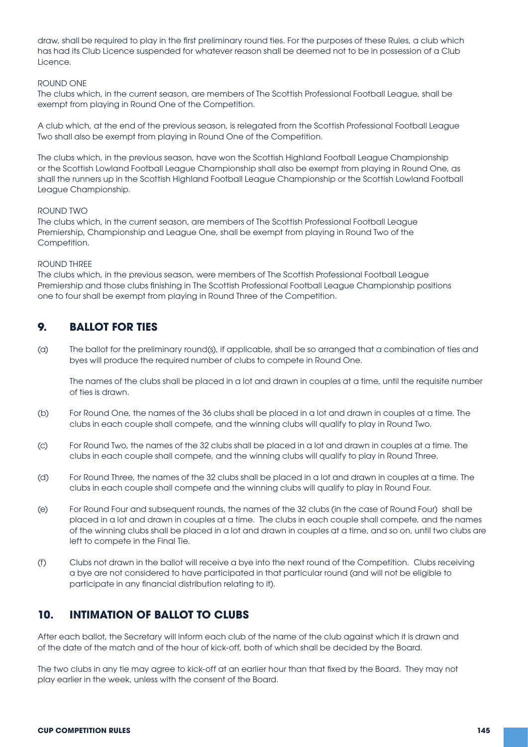draw, shall be required to play in the first preliminary round ties. For the purposes of these Rules, a club which has had its Club Licence suspended for whatever reason shall be deemed not to be in possession of a Club Licence.

#### ROUND ONE

The clubs which, in the current season, are members of The Scottish Professional Football League, shall be exempt from playing in Round One of the Competition.

A club which, at the end of the previous season, is relegated from the Scottish Professional Football League Two shall also be exempt from playing in Round One of the Competition.

The clubs which, in the previous season, have won the Scottish Highland Football League Championship or the Scottish Lowland Football League Championship shall also be exempt from playing in Round One, as shall the runners up in the Scottish Highland Football League Championship or the Scottish Lowland Football League Championship.

#### ROUND TWO

The clubs which, in the current season, are members of The Scottish Professional Football League Premiership, Championship and League One, shall be exempt from playing in Round Two of the Competition.

#### ROUND THREE

The clubs which, in the previous season, were members of The Scottish Professional Football League Premiership and those clubs finishing in The Scottish Professional Football League Championship positions one to four shall be exempt from playing in Round Three of the Competition.

### **9. BALLOT FOR TIES**

(a) The ballot for the preliminary round(s), if applicable, shall be so arranged that a combination of ties and byes will produce the required number of clubs to compete in Round One.

 The names of the clubs shall be placed in a lot and drawn in couples at a time, until the requisite number of ties is drawn.

- (b) For Round One, the names of the 36 clubs shall be placed in a lot and drawn in couples at a time. The clubs in each couple shall compete, and the winning clubs will qualify to play in Round Two.
- (c) For Round Two, the names of the 32 clubs shall be placed in a lot and drawn in couples at a time. The clubs in each couple shall compete, and the winning clubs will qualify to play in Round Three.
- (d) For Round Three, the names of the 32 clubs shall be placed in a lot and drawn in couples at a time. The clubs in each couple shall compete and the winning clubs will qualify to play in Round Four.
- (e) For Round Four and subsequent rounds, the names of the 32 clubs (in the case of Round Four) shall be placed in a lot and drawn in couples at a time. The clubs in each couple shall compete, and the names of the winning clubs shall be placed in a lot and drawn in couples at a time, and so on, until two clubs are left to compete in the Final Tie.
- (f) Clubs not drawn in the ballot will receive a bye into the next round of the Competition. Clubs receiving a bye are not considered to have participated in that particular round (and will not be eligible to participate in any financial distribution relating to it).

### **10. INTIMATION OF BALLOT TO CLUBS**

After each ballot, the Secretary will inform each club of the name of the club against which it is drawn and of the date of the match and of the hour of kick-off, both of which shall be decided by the Board.

The two clubs in any tie may agree to kick-off at an earlier hour than that fixed by the Board. They may not play earlier in the week, unless with the consent of the Board.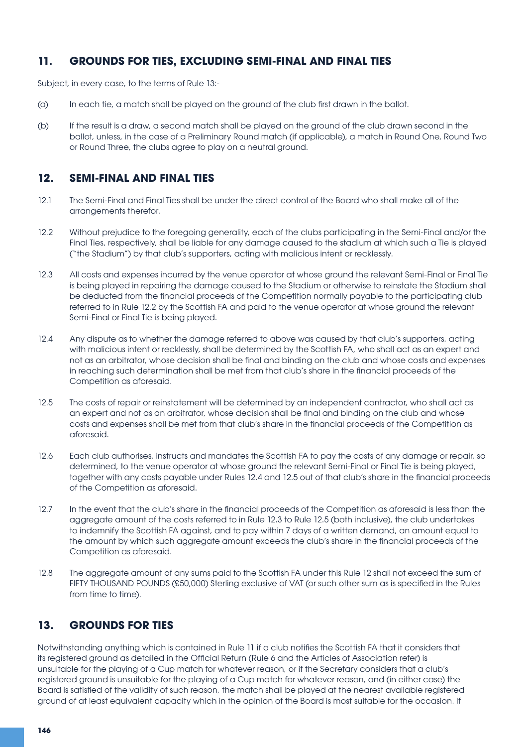### **11. GROUNDS FOR TIES, EXCLUDING SEMI-FINAL AND FINAL TIES**

Subject, in every case, to the terms of Rule 13:-

- (a) In each tie, a match shall be played on the ground of the club first drawn in the ballot.
- (b) If the result is a draw, a second match shall be played on the ground of the club drawn second in the ballot, unless, in the case of a Preliminary Round match (if applicable), a match in Round One, Round Two or Round Three, the clubs agree to play on a neutral ground.

## **12. SEMI-FINAL AND FINAL TIES**

- 12.1 The Semi-Final and Final Ties shall be under the direct control of the Board who shall make all of the arrangements therefor.
- 12.2 Without prejudice to the foregoing generality, each of the clubs participating in the Semi-Final and/or the Final Ties, respectively, shall be liable for any damage caused to the stadium at which such a Tie is played ("the Stadium") by that club's supporters, acting with malicious intent or recklessly.
- 12.3 All costs and expenses incurred by the venue operator at whose ground the relevant Semi-Final or Final Tie is being played in repairing the damage caused to the Stadium or otherwise to reinstate the Stadium shall be deducted from the financial proceeds of the Competition normally payable to the participating club referred to in Rule 12.2 by the Scottish FA and paid to the venue operator at whose ground the relevant Semi-Final or Final Tie is being played.
- 12.4 Any dispute as to whether the damage referred to above was caused by that club's supporters, acting with malicious intent or recklessly, shall be determined by the Scottish FA, who shall act as an expert and not as an arbitrator, whose decision shall be final and binding on the club and whose costs and expenses in reaching such determination shall be met from that club's share in the financial proceeds of the Competition as aforesaid.
- 12.5 The costs of repair or reinstatement will be determined by an independent contractor, who shall act as an expert and not as an arbitrator, whose decision shall be final and binding on the club and whose costs and expenses shall be met from that club's share in the financial proceeds of the Competition as aforesaid.
- 12.6 Each club authorises, instructs and mandates the Scottish FA to pay the costs of any damage or repair, so determined, to the venue operator at whose ground the relevant Semi-Final or Final Tie is being played, together with any costs payable under Rules 12.4 and 12.5 out of that club's share in the financial proceeds of the Competition as aforesaid.
- 12.7 In the event that the club's share in the financial proceeds of the Competition as aforesaid is less than the aggregate amount of the costs referred to in Rule 12.3 to Rule 12.5 (both inclusive), the club undertakes to indemnify the Scottish FA against, and to pay within 7 days of a written demand, an amount equal to the amount by which such aggregate amount exceeds the club's share in the financial proceeds of the Competition as aforesaid.
- 12.8 The aggregate amount of any sums paid to the Scottish FA under this Rule 12 shall not exceed the sum of FIFTY THOUSAND POUNDS (£50,000) Sterling exclusive of VAT (or such other sum as is specified in the Rules from time to time).

# **13. GROUNDS FOR TIES**

Notwithstanding anything which is contained in Rule 11 if a club notifies the Scottish FA that it considers that its registered ground as detailed in the Official Return (Rule 6 and the Articles of Association refer) is unsuitable for the playing of a Cup match for whatever reason, or if the Secretary considers that a club's registered ground is unsuitable for the playing of a Cup match for whatever reason, and (in either case) the Board is satisfied of the validity of such reason, the match shall be played at the nearest available registered ground of at least equivalent capacity which in the opinion of the Board is most suitable for the occasion. If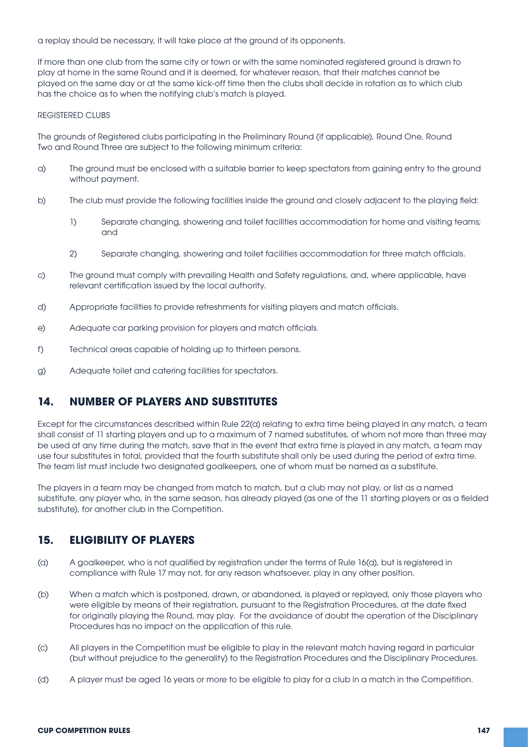a replay should be necessary, it will take place at the ground of its opponents.

If more than one club from the same city or town or with the same nominated registered ground is drawn to play at home in the same Round and it is deemed, for whatever reason, that their matches cannot be played on the same day or at the same kick-off time then the clubs shall decide in rotation as to which club has the choice as to when the notifying club's match is played.

#### REGISTERED CLUBS

The grounds of Registered clubs participating in the Preliminary Round (if applicable), Round One, Round Two and Round Three are subject to the following minimum criteria:

- a) The ground must be enclosed with a suitable barrier to keep spectators from gaining entry to the ground without payment.
- b) The club must provide the following facilities inside the ground and closely adjacent to the playing field:
	- 1) Separate changing, showering and toilet facilities accommodation for home and visiting teams; and
	- 2) Separate changing, showering and toilet facilities accommodation for three match officials.
- c) The ground must comply with prevailing Health and Safety regulations, and, where applicable, have relevant certification issued by the local authority.
- d) Appropriate facilities to provide refreshments for visiting players and match officials.
- e) Adequate car parking provision for players and match officials.
- f) Technical areas capable of holding up to thirteen persons.
- g) Adequate toilet and catering facilities for spectators.

### **14. NUMBER OF PLAYERS AND SUBSTITUTES**

Except for the circumstances described within Rule 22(a) relating to extra time being played in any match, a team shall consist of 11 starting players and up to a maximum of 7 named substitutes, of whom not more than three may be used at any time during the match, save that in the event that extra time is played in any match, a team may use four substitutes in total, provided that the fourth substitute shall only be used during the period of extra time. The team list must include two designated goalkeepers, one of whom must be named as a substitute.

The players in a team may be changed from match to match, but a club may not play, or list as a named substitute, any player who, in the same season, has already played (as one of the 11 starting players or as a fielded substitute), for another club in the Competition.

### **15. ELIGIBILITY OF PLAYERS**

- (a) A goalkeeper, who is not qualified by registration under the terms of Rule 16(a), but is registered in compliance with Rule 17 may not, for any reason whatsoever, play in any other position.
- (b) When a match which is postponed, drawn, or abandoned, is played or replayed, only those players who were eligible by means of their registration, pursuant to the Registration Procedures, at the date fixed for originally playing the Round, may play. For the avoidance of doubt the operation of the Disciplinary Procedures has no impact on the application of this rule.
- (c) All players in the Competition must be eligible to play in the relevant match having regard in particular (but without prejudice to the generality) to the Registration Procedures and the Disciplinary Procedures.
- (d) A player must be aged 16 years or more to be eligible to play for a club in a match in the Competition.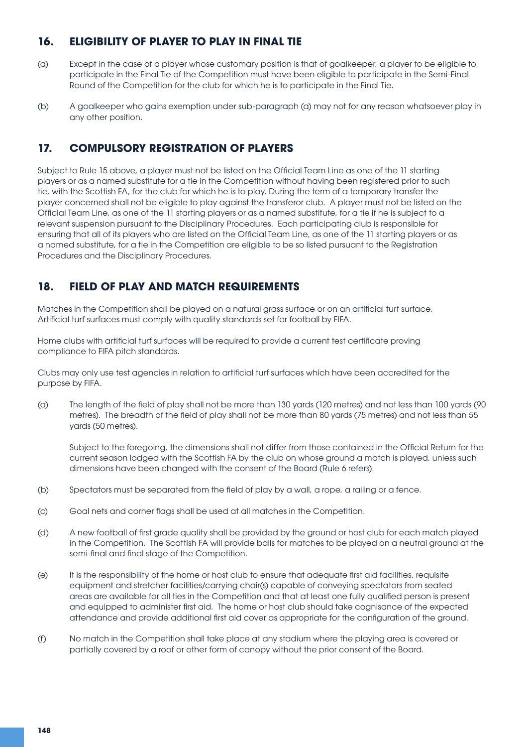# **16. ELIGIBILITY OF PLAYER TO PLAY IN FINAL TIE**

- (a) Except in the case of a player whose customary position is that of goalkeeper, a player to be eligible to participate in the Final Tie of the Competition must have been eligible to participate in the Semi-Final Round of the Competition for the club for which he is to participate in the Final Tie.
- (b) A goalkeeper who gains exemption under sub-paragraph (a) may not for any reason whatsoever play in any other position.

# **17. COMPULSORY REGISTRATION OF PLAYERS**

Subject to Rule 15 above, a player must not be listed on the Official Team Line as one of the 11 starting players or as a named substitute for a tie in the Competition without having been registered prior to such tie, with the Scottish FA, for the club for which he is to play. During the term of a temporary transfer the player concerned shall not be eligible to play against the transferor club. A player must not be listed on the Official Team Line, as one of the 11 starting players or as a named substitute, for a tie if he is subject to a relevant suspension pursuant to the Disciplinary Procedures. Each participating club is responsible for ensuring that all of its players who are listed on the Official Team Line, as one of the 11 starting players or as a named substitute, for a tie in the Competition are eligible to be so listed pursuant to the Registration Procedures and the Disciplinary Procedures.

# **18. FIELD OF PLAY AND MATCH REQUIREMENTS**

Matches in the Competition shall be played on a natural grass surface or on an artificial turf surface. Artificial turf surfaces must comply with quality standards set for football by FIFA.

Home clubs with artificial turf surfaces will be required to provide a current test certificate proving compliance to FIFA pitch standards.

Clubs may only use test agencies in relation to artificial turf surfaces which have been accredited for the purpose by FIFA.

(a) The length of the field of play shall not be more than 130 yards (120 metres) and not less than 100 yards (90 metres). The breadth of the field of play shall not be more than 80 yards (75 metres) and not less than 55 yards (50 metres).

 Subject to the foregoing, the dimensions shall not differ from those contained in the Official Return for the current season lodged with the Scottish FA by the club on whose ground a match is played, unless such dimensions have been changed with the consent of the Board (Rule 6 refers).

- (b) Spectators must be separated from the field of play by a wall, a rope, a railing or a fence.
- (c) Goal nets and corner flags shall be used at all matches in the Competition.
- (d) A new football of first grade quality shall be provided by the ground or host club for each match played in the Competition. The Scottish FA will provide balls for matches to be played on a neutral ground at the semi-final and final stage of the Competition.
- (e) It is the responsibility of the home or host club to ensure that adequate first aid facilities, requisite equipment and stretcher facilities/carrying chair(s) capable of conveying spectators from seated areas are available for all ties in the Competition and that at least one fully qualified person is present and equipped to administer first aid. The home or host club should take cognisance of the expected attendance and provide additional first aid cover as appropriate for the configuration of the ground.
- (f) No match in the Competition shall take place at any stadium where the playing area is covered or partially covered by a roof or other form of canopy without the prior consent of the Board.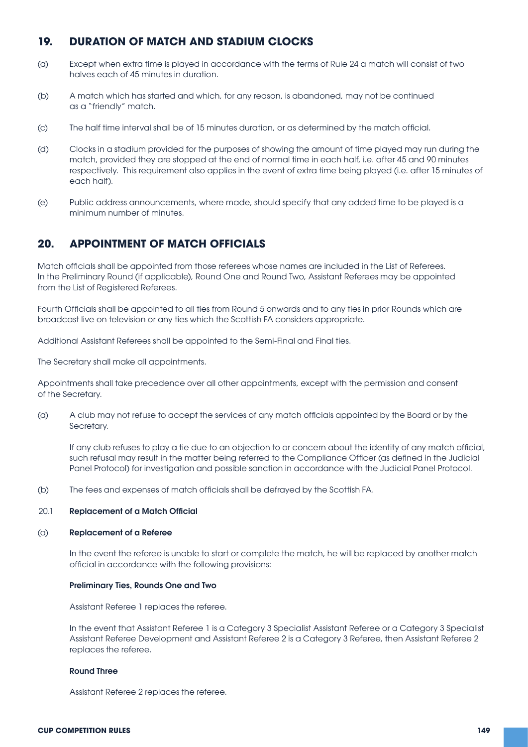### **19. DURATION OF MATCH AND STADIUM CLOCKS**

- (a) Except when extra time is played in accordance with the terms of Rule 24 a match will consist of two halves each of 45 minutes in duration.
- (b) A match which has started and which, for any reason, is abandoned, may not be continued as a "friendly" match.
- (c) The half time interval shall be of 15 minutes duration, or as determined by the match official.
- (d) Clocks in a stadium provided for the purposes of showing the amount of time played may run during the match, provided they are stopped at the end of normal time in each half, i.e. after 45 and 90 minutes respectively. This requirement also applies in the event of extra time being played (i.e. after 15 minutes of each half).
- (e) Public address announcements, where made, should specify that any added time to be played is a minimum number of minutes.

#### **20. APPOINTMENT OF MATCH OFFICIALS**

Match officials shall be appointed from those referees whose names are included in the List of Referees. In the Preliminary Round (if applicable), Round One and Round Two, Assistant Referees may be appointed from the List of Registered Referees.

Fourth Officials shall be appointed to all ties from Round 5 onwards and to any ties in prior Rounds which are broadcast live on television or any ties which the Scottish FA considers appropriate.

Additional Assistant Referees shall be appointed to the Semi-Final and Final ties.

The Secretary shall make all appointments.

Appointments shall take precedence over all other appointments, except with the permission and consent of the Secretary.

(a) A club may not refuse to accept the services of any match officials appointed by the Board or by the Secretary.

 If any club refuses to play a tie due to an objection to or concern about the identity of any match official, such refusal may result in the matter being referred to the Compliance Officer (as defined in the Judicial Panel Protocol) for investigation and possible sanction in accordance with the Judicial Panel Protocol.

(b) The fees and expenses of match officials shall be defrayed by the Scottish FA.

#### 20.1 Replacement of a Match Official

#### (a) Replacement of a Referee

In the event the referee is unable to start or complete the match, he will be replaced by another match official in accordance with the following provisions:

#### Preliminary Ties, Rounds One and Two

Assistant Referee 1 replaces the referee.

In the event that Assistant Referee 1 is a Category 3 Specialist Assistant Referee or a Category 3 Specialist Assistant Referee Development and Assistant Referee 2 is a Category 3 Referee, then Assistant Referee 2 replaces the referee.

#### Round Three

Assistant Referee 2 replaces the referee.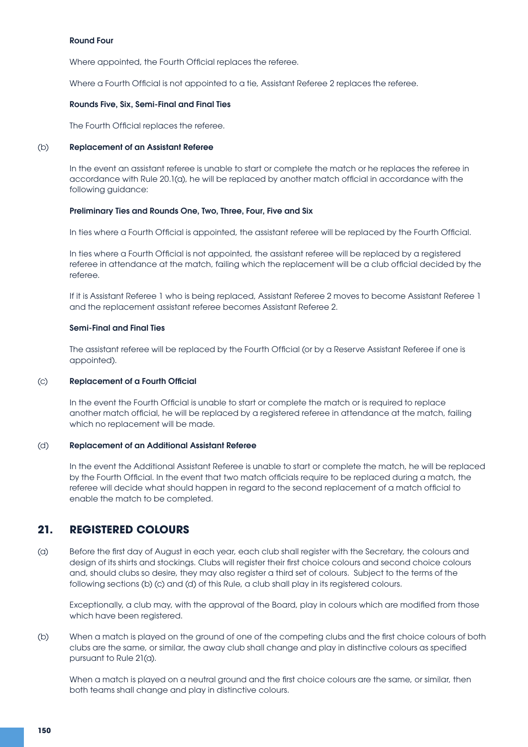#### Round Four

 Where appointed, the Fourth Official replaces the referee.

 Where a Fourth Official is not appointed to a tie, Assistant Referee 2 replaces the referee.

#### Rounds Five, Six, Semi-Final and Final Ties

 The Fourth Official replaces the referee.

#### (b) Replacement of an Assistant Referee

In the event an assistant referee is unable to start or complete the match or he replaces the referee in accordance with Rule 20.1(a), he will be replaced by another match official in accordance with the following guidance:

#### Preliminary Ties and Rounds One, Two, Three, Four, Five and Six

 In ties where a Fourth Official is appointed, the assistant referee will be replaced by the Fourth Official.

 In ties where a Fourth Official is not appointed, the assistant referee will be replaced by a registered referee in attendance at the match, failing which the replacement will be a club official decided by the referee.

If it is Assistant Referee 1 who is being replaced, Assistant Referee 2 moves to become Assistant Referee 1 and the replacement assistant referee becomes Assistant Referee 2.

#### Semi-Final and Final Ties

 The assistant referee will be replaced by the Fourth Official (or by a Reserve Assistant Referee if one is appointed).

#### (c) Replacement of a Fourth Official

 In the event the Fourth Official is unable to start or complete the match or is required to replace another match official, he will be replaced by a registered referee in attendance at the match, failing which no replacement will be made.

#### (d) Replacement of an Additional Assistant Referee

In the event the Additional Assistant Referee is unable to start or complete the match, he will be replaced by the Fourth Official. In the event that two match officials require to be replaced during a match, the referee will decide what should happen in regard to the second replacement of a match official to enable the match to be completed.

### **21. REGISTERED COLOURS**

(a) Before the first day of August in each year, each club shall register with the Secretary, the colours and design of its shirts and stockings. Clubs will register their first choice colours and second choice colours and, should clubs so desire, they may also register a third set of colours. Subject to the terms of the following sections (b) (c) and (d) of this Rule, a club shall play in its registered colours.

 Exceptionally, a club may, with the approval of the Board, play in colours which are modified from those which have been registered.

(b) When a match is played on the ground of one of the competing clubs and the first choice colours of both clubs are the same, or similar, the away club shall change and play in distinctive colours as specified pursuant to Rule 21(a).

When a match is played on a neutral ground and the first choice colours are the same, or similar, then both teams shall change and play in distinctive colours.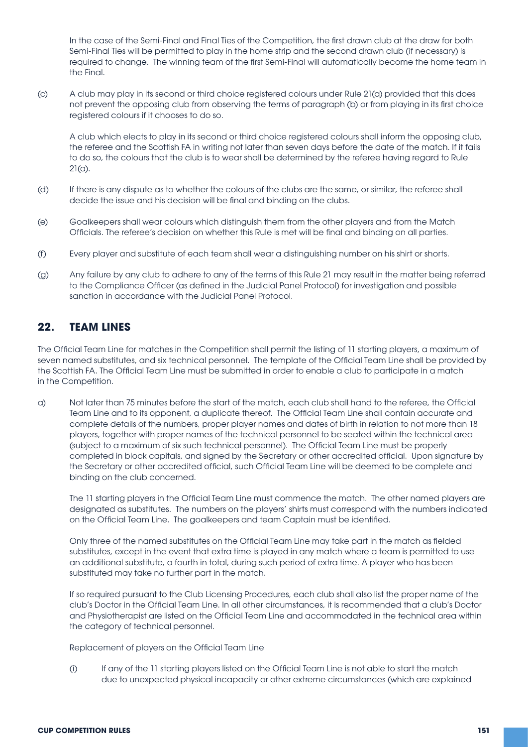In the case of the Semi-Final and Final Ties of the Competition, the first drawn club at the draw for both Semi-Final Ties will be permitted to play in the home strip and the second drawn club (if necessary) is required to change. The winning team of the first Semi-Final will automatically become the home team in the Final.

(c) A club may play in its second or third choice registered colours under Rule 21(a) provided that this does not prevent the opposing club from observing the terms of paragraph (b) or from playing in its first choice registered colours if it chooses to do so.

 A club which elects to play in its second or third choice registered colours shall inform the opposing club, the referee and the Scottish FA in writing not later than seven days before the date of the match. If it fails to do so, the colours that the club is to wear shall be determined by the referee having regard to Rule  $21(a)$ .

- (d) If there is any dispute as to whether the colours of the clubs are the same, or similar, the referee shall decide the issue and his decision will be final and binding on the clubs.
- (e) Goalkeepers shall wear colours which distinguish them from the other players and from the Match Officials. The referee's decision on whether this Rule is met will be final and binding on all parties.
- (f) Every player and substitute of each team shall wear a distinguishing number on his shirt or shorts.
- (g) Any failure by any club to adhere to any of the terms of this Rule 21 may result in the matter being referred to the Compliance Officer (as defined in the Judicial Panel Protocol) for investigation and possible sanction in accordance with the Judicial Panel Protocol.

## **22. TEAM LINES**

The Official Team Line for matches in the Competition shall permit the listing of 11 starting players, a maximum of seven named substitutes, and six technical personnel. The template of the Official Team Line shall be provided by the Scottish FA. The Official Team Line must be submitted in order to enable a club to participate in a match in the Competition.

a) Not later than 75 minutes before the start of the match, each club shall hand to the referee, the Official Team Line and to its opponent, a duplicate thereof. The Official Team Line shall contain accurate and complete details of the numbers, proper player names and dates of birth in relation to not more than 18 players, together with proper names of the technical personnel to be seated within the technical area (subject to a maximum of six such technical personnel). The Official Team Line must be properly completed in block capitals, and signed by the Secretary or other accredited official. Upon signature by the Secretary or other accredited official, such Official Team Line will be deemed to be complete and binding on the club concerned.

The 11 starting players in the Official Team Line must commence the match. The other named players are designated as substitutes. The numbers on the players' shirts must correspond with the numbers indicated on the Official Team Line. The goalkeepers and team Captain must be identified.

 Only three of the named substitutes on the Official Team Line may take part in the match as fielded substitutes, except in the event that extra time is played in any match where a team is permitted to use an additional substitute, a fourth in total, during such period of extra time. A player who has been substituted may take no further part in the match.

 If so required pursuant to the Club Licensing Procedures, each club shall also list the proper name of the club's Doctor in the Official Team Line. In all other circumstances, it is recommended that a club's Doctor and Physiotherapist are listed on the Official Team Line and accommodated in the technical area within the category of technical personnel.

 Replacement of players on the Official Team Line

 (i) If any of the 11 starting players listed on the Official Team Line is not able to start the match due to unexpected physical incapacity or other extreme circumstances (which are explained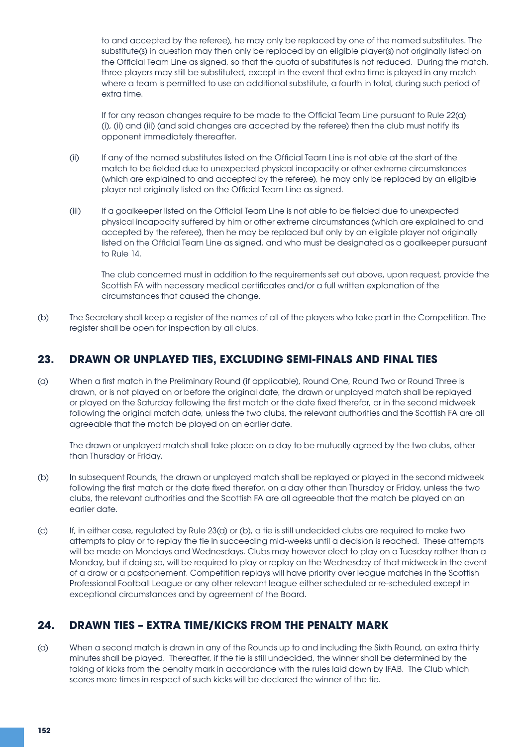to and accepted by the referee), he may only be replaced by one of the named substitutes. The substitute(s) in question may then only be replaced by an eligible player(s) not originally listed on the Official Team Line as signed, so that the quota of substitutes is not reduced. During the match, three players may still be substituted, except in the event that extra time is played in any match where a team is permitted to use an additional substitute, a fourth in total, during such period of extra time.

 If for any reason changes require to be made to the Official Team Line pursuant to Rule 22(a) (i), (ii) and (iii) (and said changes are accepted by the referee) then the club must notify its opponent immediately thereafter.

- (ii) If any of the named substitutes listed on the Official Team Line is not able at the start of the match to be fielded due to unexpected physical incapacity or other extreme circumstances (which are explained to and accepted by the referee), he may only be replaced by an eligible player not originally listed on the Official Team Line as signed.
- (iii) If a goalkeeper listed on the Official Team Line is not able to be fielded due to unexpected physical incapacity suffered by him or other extreme circumstances (which are explained to and accepted by the referee), then he may be replaced but only by an eligible player not originally listed on the Official Team Line as signed, and who must be designated as a goalkeeper pursuant to Rule 14.

 The club concerned must in addition to the requirements set out above, upon request, provide the Scottish FA with necessary medical certificates and/or a full written explanation of the circumstances that caused the change.

(b) The Secretary shall keep a register of the names of all of the players who take part in the Competition. The register shall be open for inspection by all clubs.

### **23. DRAWN OR UNPLAYED TIES, EXCLUDING SEMI-FINALS AND FINAL TIES**

(a) When a first match in the Preliminary Round (if applicable), Round One, Round Two or Round Three is drawn, or is not played on or before the original date, the drawn or unplayed match shall be replayed or played on the Saturday following the first match or the date fixed therefor, or in the second midweek following the original match date, unless the two clubs, the relevant authorities and the Scottish FA are all agreeable that the match be played on an earlier date.

 The drawn or unplayed match shall take place on a day to be mutually agreed by the two clubs, other than Thursday or Friday.

- (b) In subsequent Rounds, the drawn or unplayed match shall be replayed or played in the second midweek following the first match or the date fixed therefor, on a day other than Thursday or Friday, unless the two clubs, the relevant authorities and the Scottish FA are all agreeable that the match be played on an earlier date.
- (c) If, in either case, regulated by Rule 23(a) or (b), a tie is still undecided clubs are required to make two attempts to play or to replay the tie in succeeding mid-weeks until a decision is reached. These attempts will be made on Mondays and Wednesdays. Clubs may however elect to play on a Tuesday rather than a Monday, but if doing so, will be required to play or replay on the Wednesday of that midweek in the event of a draw or a postponement. Competition replays will have priority over league matches in the Scottish Professional Football League or any other relevant league either scheduled or re-scheduled except in exceptional circumstances and by agreement of the Board.

# **24. DRAWN TIES – EXTRA TIME/KICKS FROM THE PENALTY MARK**

(a) When a second match is drawn in any of the Rounds up to and including the Sixth Round, an extra thirty minutes shall be played. Thereafter, if the tie is still undecided, the winner shall be determined by the taking of kicks from the penalty mark in accordance with the rules laid down by IFAB. The Club which scores more times in respect of such kicks will be declared the winner of the tie.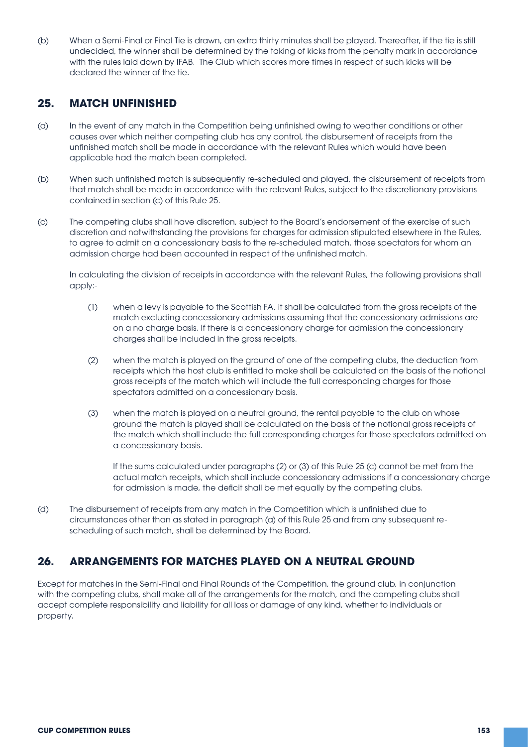(b) When a Semi-Final or Final Tie is drawn, an extra thirty minutes shall be played. Thereafter, if the tie is still undecided, the winner shall be determined by the taking of kicks from the penalty mark in accordance with the rules laid down by IFAB. The Club which scores more times in respect of such kicks will be declared the winner of the tie.

#### **25. MATCH UNFINISHED**

- (a) In the event of any match in the Competition being unfinished owing to weather conditions or other causes over which neither competing club has any control, the disbursement of receipts from the unfinished match shall be made in accordance with the relevant Rules which would have been applicable had the match been completed.
- (b) When such unfinished match is subsequently re-scheduled and played, the disbursement of receipts from that match shall be made in accordance with the relevant Rules, subject to the discretionary provisions contained in section (c) of this Rule 25.
- (c) The competing clubs shall have discretion, subject to the Board's endorsement of the exercise of such discretion and notwithstanding the provisions for charges for admission stipulated elsewhere in the Rules, to agree to admit on a concessionary basis to the re-scheduled match, those spectators for whom an admission charge had been accounted in respect of the unfinished match.

 In calculating the division of receipts in accordance with the relevant Rules, the following provisions shall apply:-

- (1) when a levy is payable to the Scottish FA, it shall be calculated from the gross receipts of the match excluding concessionary admissions assuming that the concessionary admissions are on a no charge basis. If there is a concessionary charge for admission the concessionary charges shall be included in the gross receipts.
- (2) when the match is played on the ground of one of the competing clubs, the deduction from receipts which the host club is entitled to make shall be calculated on the basis of the notional gross receipts of the match which will include the full corresponding charges for those spectators admitted on a concessionary basis.
- (3) when the match is played on a neutral ground, the rental payable to the club on whose ground the match is played shall be calculated on the basis of the notional gross receipts of the match which shall include the full corresponding charges for those spectators admitted on a concessionary basis.

If the sums calculated under paragraphs (2) or (3) of this Rule 25 (c) cannot be met from the actual match receipts, which shall include concessionary admissions if a concessionary charge for admission is made, the deficit shall be met equally by the competing clubs.

(d) The disbursement of receipts from any match in the Competition which is unfinished due to circumstances other than as stated in paragraph (a) of this Rule 25 and from any subsequent re scheduling of such match, shall be determined by the Board.

# **26. ARRANGEMENTS FOR MATCHES PLAYED ON A NEUTRAL GROUND**

Except for matches in the Semi-Final and Final Rounds of the Competition, the ground club, in conjunction with the competing clubs, shall make all of the arrangements for the match, and the competing clubs shall accept complete responsibility and liability for all loss or damage of any kind, whether to individuals or property.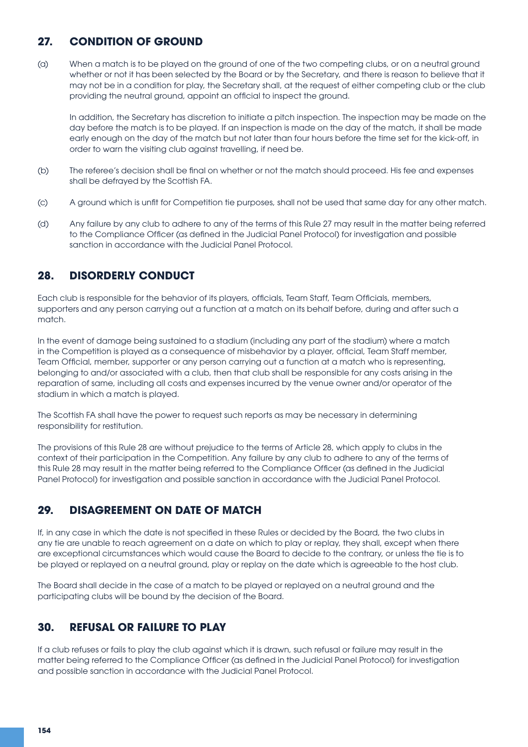# **27. CONDITION OF GROUND**

(a) When a match is to be played on the ground of one of the two competing clubs, or on a neutral ground whether or not it has been selected by the Board or by the Secretary, and there is reason to believe that it may not be in a condition for play, the Secretary shall, at the request of either competing club or the club providing the neutral ground, appoint an official to inspect the ground.

 In addition, the Secretary has discretion to initiate a pitch inspection. The inspection may be made on the day before the match is to be played. If an inspection is made on the day of the match, it shall be made early enough on the day of the match but not later than four hours before the time set for the kick-off, in order to warn the visiting club against travelling, if need be.

- (b) The referee's decision shall be final on whether or not the match should proceed. His fee and expenses shall be defrayed by the Scottish FA.
- (c) A ground which is unfit for Competition tie purposes, shall not be used that same day for any other match.
- (d) Any failure by any club to adhere to any of the terms of this Rule 27 may result in the matter being referred to the Compliance Officer (as defined in the Judicial Panel Protocol) for investigation and possible sanction in accordance with the Judicial Panel Protocol.

# **28. DISORDERLY CONDUCT**

Each club is responsible for the behavior of its players, officials, Team Staff, Team Officials, members, supporters and any person carrying out a function at a match on its behalf before, during and after such a match.

In the event of damage being sustained to a stadium (including any part of the stadium) where a match in the Competition is played as a consequence of misbehavior by a player, official, Team Staff member, Team Official, member, supporter or any person carrying out a function at a match who is representing, belonging to and/or associated with a club, then that club shall be responsible for any costs arising in the reparation of same, including all costs and expenses incurred by the venue owner and/or operator of the stadium in which a match is played.

The Scottish FA shall have the power to request such reports as may be necessary in determining responsibility for restitution.

The provisions of this Rule 28 are without prejudice to the terms of Article 28, which apply to clubs in the context of their participation in the Competition. Any failure by any club to adhere to any of the terms of this Rule 28 may result in the matter being referred to the Compliance Officer (as defined in the Judicial Panel Protocol) for investigation and possible sanction in accordance with the Judicial Panel Protocol.

# **29. DISAGREEMENT ON DATE OF MATCH**

If, in any case in which the date is not specified in these Rules or decided by the Board, the two clubs in any tie are unable to reach agreement on a date on which to play or replay, they shall, except when there are exceptional circumstances which would cause the Board to decide to the contrary, or unless the tie is to be played or replayed on a neutral ground, play or replay on the date which is agreeable to the host club.

The Board shall decide in the case of a match to be played or replayed on a neutral ground and the participating clubs will be bound by the decision of the Board.

# **30. REFUSAL OR FAILURE TO PLAY**

If a club refuses or fails to play the club against which it is drawn, such refusal or failure may result in the matter being referred to the Compliance Officer (as defined in the Judicial Panel Protocol) for investigation and possible sanction in accordance with the Judicial Panel Protocol.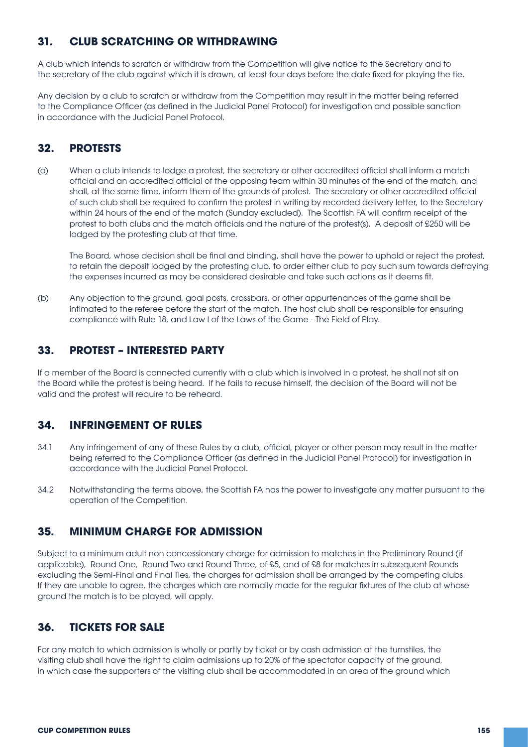# **31. CLUB SCRATCHING OR WITHDRAWING**

A club which intends to scratch or withdraw from the Competition will give notice to the Secretary and to the secretary of the club against which it is drawn, at least four days before the date fixed for playing the tie.

Any decision by a club to scratch or withdraw from the Competition may result in the matter being referred to the Compliance Officer (as defined in the Judicial Panel Protocol) for investigation and possible sanction in accordance with the Judicial Panel Protocol.

# **32. PROTESTS**

(a) When a club intends to lodge a protest, the secretary or other accredited official shall inform a match official and an accredited official of the opposing team within 30 minutes of the end of the match, and shall, at the same time, inform them of the grounds of protest. The secretary or other accredited official of such club shall be required to confirm the protest in writing by recorded delivery letter, to the Secretary within 24 hours of the end of the match (Sunday excluded). The Scottish FA will confirm receipt of the protest to both clubs and the match officials and the nature of the protest(s). A deposit of £250 will be lodged by the protesting club at that time.

 The Board, whose decision shall be final and binding, shall have the power to uphold or reject the protest, to retain the deposit lodged by the protesting club, to order either club to pay such sum towards defraying the expenses incurred as may be considered desirable and take such actions as it deems fit.

(b) Any objection to the ground, goal posts, crossbars, or other appurtenances of the game shall be intimated to the referee before the start of the match. The host club shall be responsible for ensuring compliance with Rule 18, and Law I of the Laws of the Game - The Field of Play.

# **33. PROTEST – INTERESTED PARTY**

If a member of the Board is connected currently with a club which is involved in a protest, he shall not sit on the Board while the protest is being heard. If he fails to recuse himself, the decision of the Board will not be valid and the protest will require to be reheard.

### **34. INFRINGEMENT OF RULES**

- 34.1 Any infringement of any of these Rules by a club, official, player or other person may result in the matter being referred to the Compliance Officer (as defined in the Judicial Panel Protocol) for investigation in accordance with the Judicial Panel Protocol.
- 34.2 Notwithstanding the terms above, the Scottish FA has the power to investigate any matter pursuant to the operation of the Competition.

## **35. MINIMUM CHARGE FOR ADMISSION**

Subject to a minimum adult non concessionary charge for admission to matches in the Preliminary Round (if applicable), Round One, Round Two and Round Three, of £5, and of £8 for matches in subsequent Rounds excluding the Semi-Final and Final Ties, the charges for admission shall be arranged by the competing clubs. If they are unable to agree, the charges which are normally made for the regular fixtures of the club at whose ground the match is to be played, will apply.

# **36. TICKETS FOR SALE**

For any match to which admission is wholly or partly by ticket or by cash admission at the turnstiles, the visiting club shall have the right to claim admissions up to 20% of the spectator capacity of the ground, in which case the supporters of the visiting club shall be accommodated in an area of the ground which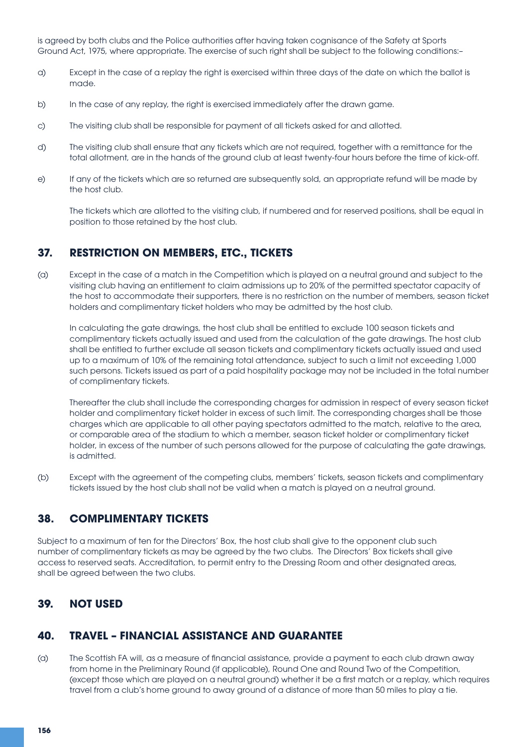is agreed by both clubs and the Police authorities after having taken cognisance of the Safety at Sports Ground Act, 1975, where appropriate. The exercise of such right shall be subject to the following conditions:–

- a) Except in the case of a replay the right is exercised within three days of the date on which the ballot is made.
- b) In the case of any replay, the right is exercised immediately after the drawn game.
- c) The visiting club shall be responsible for payment of all tickets asked for and allotted.
- d) The visiting club shall ensure that any tickets which are not required, together with a remittance for the total allotment, are in the hands of the ground club at least twenty-four hours before the time of kick-off.
- e) If any of the tickets which are so returned are subsequently sold, an appropriate refund will be made by the host club.

 The tickets which are allotted to the visiting club, if numbered and for reserved positions, shall be equal in position to those retained by the host club.

#### **37. RESTRICTION ON MEMBERS, ETC., TICKETS**

(a) Except in the case of a match in the Competition which is played on a neutral ground and subject to the visiting club having an entitlement to claim admissions up to 20% of the permitted spectator capacity of the host to accommodate their supporters, there is no restriction on the number of members, season ticket holders and complimentary ticket holders who may be admitted by the host club.

 In calculating the gate drawings, the host club shall be entitled to exclude 100 season tickets and complimentary tickets actually issued and used from the calculation of the gate drawings. The host club shall be entitled to further exclude all season tickets and complimentary tickets actually issued and used up to a maximum of 10% of the remaining total attendance, subject to such a limit not exceeding 1,000 such persons. Tickets issued as part of a paid hospitality package may not be included in the total number of complimentary tickets.

 Thereafter the club shall include the corresponding charges for admission in respect of every season ticket holder and complimentary ticket holder in excess of such limit. The corresponding charges shall be those charges which are applicable to all other paying spectators admitted to the match, relative to the area, or comparable area of the stadium to which a member, season ticket holder or complimentary ticket holder, in excess of the number of such persons allowed for the purpose of calculating the gate drawings, is admitted.

(b) Except with the agreement of the competing clubs, members' tickets, season tickets and complimentary tickets issued by the host club shall not be valid when a match is played on a neutral ground.

### **38. COMPLIMENTARY TICKETS**

Subject to a maximum of ten for the Directors' Box, the host club shall give to the opponent club such number of complimentary tickets as may be agreed by the two clubs. The Directors' Box tickets shall give access to reserved seats. Accreditation, to permit entry to the Dressing Room and other designated areas, shall be agreed between the two clubs.

### **39. NOT USED**

#### **40. TRAVEL – FINANCIAL ASSISTANCE AND GUARANTEE**

(a) The Scottish FA will, as a measure of financial assistance, provide a payment to each club drawn away from home in the Preliminary Round (if applicable), Round One and Round Two of the Competition, (except those which are played on a neutral ground) whether it be a first match or a replay, which requires travel from a club's home ground to away ground of a distance of more than 50 miles to play a tie.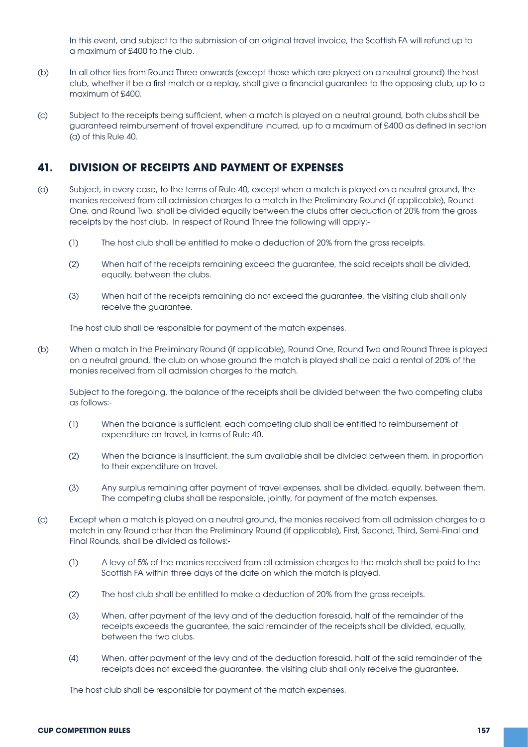In this event, and subject to the submission of an original travel invoice, the Scottish FA will refund up to a maximum of £400 to the club.

- (b) In all other ties from Round Three onwards (except those which are played on a neutral ground) the host club, whether it be a first match or a replay, shall give a financial guarantee to the opposing club, up to a maximum of £400.
- (c) Subject to the receipts being sufficient, when a match is played on a neutral ground, both clubs shall be guaranteed reimbursement of travel expenditure incurred, up to a maximum of £400 as defined in section (a) of this Rule 40.

### **41. DIVISION OF RECEIPTS AND PAYMENT OF EXPENSES**

- (a) Subject, in every case, to the terms of Rule 40, except when a match is played on a neutral ground, the monies received from all admission charges to a match in the Preliminary Round (if applicable), Round One, and Round Two, shall be divided equally between the clubs after deduction of 20% from the gross receipts by the host club. In respect of Round Three the following will apply:-
	- (1) The host club shall be entitled to make a deduction of 20% from the gross receipts.
	- (2) When half of the receipts remaining exceed the guarantee, the said receipts shall be divided, equally, between the clubs.
	- (3) When half of the receipts remaining do not exceed the guarantee, the visiting club shall only receive the guarantee.

The host club shall be responsible for payment of the match expenses.

(b) When a match in the Preliminary Round (if applicable), Round One, Round Two and Round Three is played on a neutral ground, the club on whose ground the match is played shall be paid a rental of 20% of the monies received from all admission charges to the match.

 Subject to the foregoing, the balance of the receipts shall be divided between the two competing clubs as follows:-

- (1) When the balance is sufficient, each competing club shall be entitled to reimbursement of expenditure on travel, in terms of Rule 40.
- (2) When the balance is insufficient, the sum available shall be divided between them, in proportion to their expenditure on travel.
- (3) Any surplus remaining after payment of travel expenses, shall be divided, equally, between them. The competing clubs shall be responsible, jointly, for payment of the match expenses.
- (c) Except when a match is played on a neutral ground, the monies received from all admission charges to a match in any Round other than the Preliminary Round (if applicable), First, Second, Third, Semi-Final and Final Rounds, shall be divided as follows:-
	- (1) A levy of 5% of the monies received from all admission charges to the match shall be paid to the Scottish FA within three days of the date on which the match is played.
	- (2) The host club shall be entitled to make a deduction of 20% from the gross receipts.
	- (3) When, after payment of the levy and of the deduction foresaid, half of the remainder of the receipts exceeds the guarantee, the said remainder of the receipts shall be divided, equally, between the two clubs.
	- (4) When, after payment of the levy and of the deduction foresaid, half of the said remainder of the receipts does not exceed the guarantee, the visiting club shall only receive the guarantee.

The host club shall be responsible for payment of the match expenses.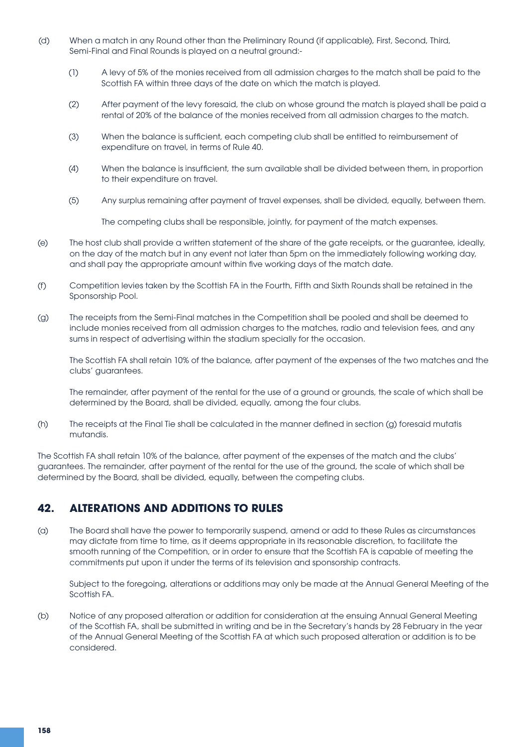- (d) When a match in any Round other than the Preliminary Round (if applicable), First, Second, Third, Semi-Final and Final Rounds is played on a neutral ground:-
	- (1) A levy of 5% of the monies received from all admission charges to the match shall be paid to the Scottish FA within three days of the date on which the match is played.
	- (2) After payment of the levy foresaid, the club on whose ground the match is played shall be paid a rental of 20% of the balance of the monies received from all admission charges to the match.
	- (3) When the balance is sufficient, each competing club shall be entitled to reimbursement of expenditure on travel, in terms of Rule 40.
	- (4) When the balance is insufficient, the sum available shall be divided between them, in proportion to their expenditure on travel.
	- (5) Any surplus remaining after payment of travel expenses, shall be divided, equally, between them.

 The competing clubs shall be responsible, jointly, for payment of the match expenses.

- (e) The host club shall provide a written statement of the share of the gate receipts, or the guarantee, ideally, on the day of the match but in any event not later than 5pm on the immediately following working day, and shall pay the appropriate amount within five working days of the match date.
- (f) Competition levies taken by the Scottish FA in the Fourth, Fifth and Sixth Rounds shall be retained in the Sponsorship Pool.
- (g) The receipts from the Semi-Final matches in the Competition shall be pooled and shall be deemed to include monies received from all admission charges to the matches, radio and television fees, and any sums in respect of advertising within the stadium specially for the occasion.

 The Scottish FA shall retain 10% of the balance, after payment of the expenses of the two matches and the clubs' guarantees.

 The remainder, after payment of the rental for the use of a ground or grounds, the scale of which shall be determined by the Board, shall be divided, equally, among the four clubs.

(h) The receipts at the Final Tie shall be calculated in the manner defined in section (g) foresaid mutatis mutandis.

The Scottish FA shall retain 10% of the balance, after payment of the expenses of the match and the clubs' guarantees. The remainder, after payment of the rental for the use of the ground, the scale of which shall be determined by the Board, shall be divided, equally, between the competing clubs.

# **42. ALTERATIONS AND ADDITIONS TO RULES**

(a) The Board shall have the power to temporarily suspend, amend or add to these Rules as circumstances may dictate from time to time, as it deems appropriate in its reasonable discretion, to facilitate the smooth running of the Competition, or in order to ensure that the Scottish FA is capable of meeting the commitments put upon it under the terms of its television and sponsorship contracts.

 Subject to the foregoing, alterations or additions may only be made at the Annual General Meeting of the Scottish FA.

(b) Notice of any proposed alteration or addition for consideration at the ensuing Annual General Meeting of the Scottish FA, shall be submitted in writing and be in the Secretary's hands by 28 February in the year of the Annual General Meeting of the Scottish FA at which such proposed alteration or addition is to be considered.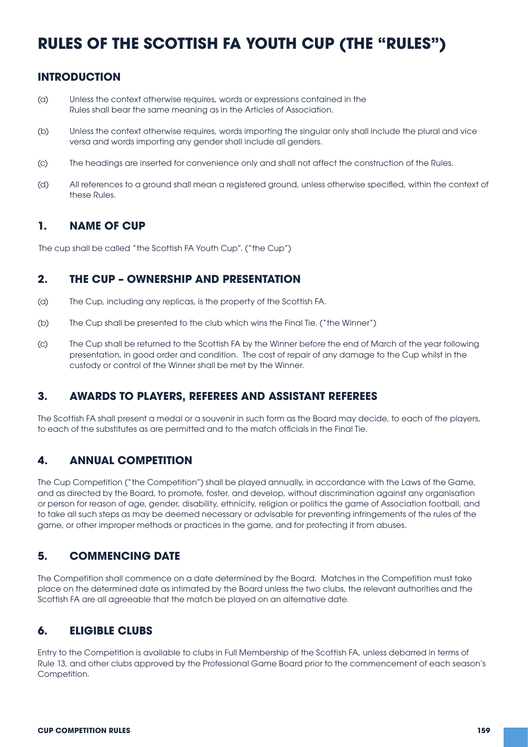# **RULES OF THE SCOTTISH FA YOUTH CUP (THE "RULES")**

# **INTRODUCTION**

- (a) Unless the context otherwise requires, words or expressions contained in the Rules shall bear the same meaning as in the Articles of Association.
- (b) Unless the context otherwise requires, words importing the singular only shall include the plural and vice versa and words importing any gender shall include all genders.
- (c) The headings are inserted for convenience only and shall not affect the construction of the Rules.
- (d) All references to a ground shall mean a registered ground, unless otherwise specified, within the context of these Rules.

### **1. NAME OF CUP**

The cup shall be called "the Scottish FA Youth Cup". ("the Cup")

### **2. THE CUP – OWNERSHIP AND PRESENTATION**

- (a) The Cup, including any replicas, is the property of the Scottish FA.
- (b) The Cup shall be presented to the club which wins the Final Tie. ("the Winner")
- (c) The Cup shall be returned to the Scottish FA by the Winner before the end of March of the year following presentation, in good order and condition. The cost of repair of any damage to the Cup whilst in the custody or control of the Winner shall be met by the Winner.

### **3. AWARDS TO PLAYERS, REFEREES AND ASSISTANT REFEREES**

The Scottish FA shall present a medal or a souvenir in such form as the Board may decide, to each of the players, to each of the substitutes as are permitted and to the match officials in the Final Tie.

# **4. ANNUAL COMPETITION**

The Cup Competition ("the Competition") shall be played annually, in accordance with the Laws of the Game, and as directed by the Board, to promote, foster, and develop, without discrimination against any organisation or person for reason of age, gender, disability, ethnicity, religion or politics the game of Association football, and to take all such steps as may be deemed necessary or advisable for preventing infringements of the rules of the game, or other improper methods or practices in the game, and for protecting it from abuses.

# **5. COMMENCING DATE**

The Competition shall commence on a date determined by the Board. Matches in the Competition must take place on the determined date as intimated by the Board unless the two clubs, the relevant authorities and the Scottish FA are all agreeable that the match be played on an alternative date.

### **6. ELIGIBLE CLUBS**

Entry to the Competition is available to clubs in Full Membership of the Scottish FA, unless debarred in terms of Rule 13, and other clubs approved by the Professional Game Board prior to the commencement of each season's Competition.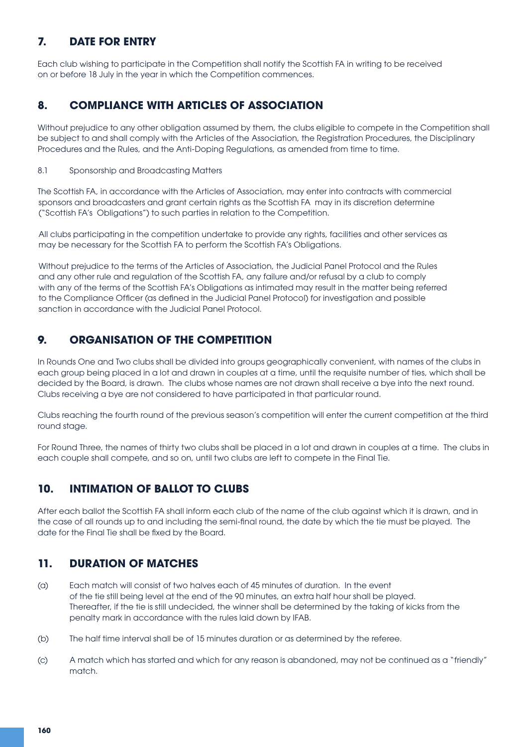# **7. DATE FOR ENTRY**

Each club wishing to participate in the Competition shall notify the Scottish FA in writing to be received on or before 18 July in the year in which the Competition commences.

# **8. COMPLIANCE WITH ARTICLES OF ASSOCIATION**

Without prejudice to any other obligation assumed by them, the clubs eligible to compete in the Competition shall be subject to and shall comply with the Articles of the Association, the Registration Procedures, the Disciplinary Procedures and the Rules, and the Anti-Doping Regulations, as amended from time to time.

#### 8.1 Sponsorship and Broadcasting Matters

The Scottish FA, in accordance with the Articles of Association, may enter into contracts with commercial sponsors and broadcasters and grant certain rights as the Scottish FA may in its discretion determine ("Scottish FA's Obligations") to such parties in relation to the Competition.

All clubs participating in the competition undertake to provide any rights, facilities and other services as may be necessary for the Scottish FA to perform the Scottish FA's Obligations.

 Without prejudice to the terms of the Articles of Association, the Judicial Panel Protocol and the Rules and any other rule and regulation of the Scottish FA, any failure and/or refusal by a club to comply with any of the terms of the Scottish FA's Obligations as intimated may result in the matter being referred to the Compliance Officer (as defined in the Judicial Panel Protocol) for investigation and possible sanction in accordance with the Judicial Panel Protocol.

# **9. ORGANISATION OF THE COMPETITION**

In Rounds One and Two clubs shall be divided into groups geographically convenient, with names of the clubs in each group being placed in a lot and drawn in couples at a time, until the requisite number of ties, which shall be decided by the Board, is drawn. The clubs whose names are not drawn shall receive a bye into the next round. Clubs receiving a bye are not considered to have participated in that particular round.

Clubs reaching the fourth round of the previous season's competition will enter the current competition at the third round stage.

For Round Three, the names of thirty two clubs shall be placed in a lot and drawn in couples at a time. The clubs in each couple shall compete, and so on, until two clubs are left to compete in the Final Tie.

# **10. INTIMATION OF BALLOT TO CLUBS**

After each ballot the Scottish FA shall inform each club of the name of the club against which it is drawn, and in the case of all rounds up to and including the semi-final round, the date by which the tie must be played. The date for the Final Tie shall be fixed by the Board.

# **11. DURATION OF MATCHES**

- (a) Each match will consist of two halves each of 45 minutes of duration. In the event of the tie still being level at the end of the 90 minutes, an extra half hour shall be played. Thereafter, if the tie is still undecided, the winner shall be determined by the taking of kicks from the penalty mark in accordance with the rules laid down by IFAB.
- (b) The half time interval shall be of 15 minutes duration or as determined by the referee.
- (c) A match which has started and which for any reason is abandoned, may not be continued as a "friendly" match.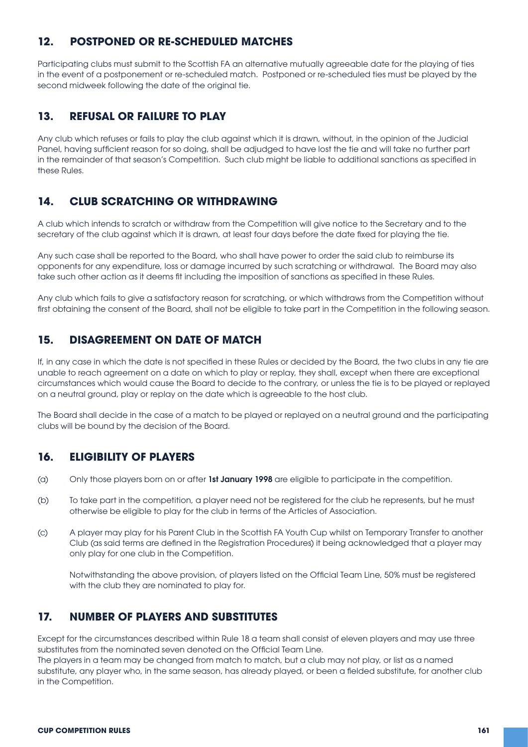# **12. POSTPONED OR RE-SCHEDULED MATCHES**

Participating clubs must submit to the Scottish FA an alternative mutually agreeable date for the playing of ties in the event of a postponement or re-scheduled match. Postponed or re-scheduled ties must be played by the second midweek following the date of the original tie.

# **13. REFUSAL OR FAILURE TO PLAY**

Any club which refuses or fails to play the club against which it is drawn, without, in the opinion of the Judicial Panel, having sufficient reason for so doing, shall be adjudged to have lost the tie and will take no further part in the remainder of that season's Competition. Such club might be liable to additional sanctions as specified in these Rules.

# **14. CLUB SCRATCHING OR WITHDRAWING**

A club which intends to scratch or withdraw from the Competition will give notice to the Secretary and to the secretary of the club against which it is drawn, at least four days before the date fixed for playing the tie.

Any such case shall be reported to the Board, who shall have power to order the said club to reimburse its opponents for any expenditure, loss or damage incurred by such scratching or withdrawal. The Board may also take such other action as it deems fit including the imposition of sanctions as specified in these Rules.

Any club which fails to give a satisfactory reason for scratching, or which withdraws from the Competition without first obtaining the consent of the Board, shall not be eligible to take part in the Competition in the following season.

# **15. DISAGREEMENT ON DATE OF MATCH**

If, in any case in which the date is not specified in these Rules or decided by the Board, the two clubs in any tie are unable to reach agreement on a date on which to play or replay, they shall, except when there are exceptional circumstances which would cause the Board to decide to the contrary, or unless the tie is to be played or replayed on a neutral ground, play or replay on the date which is agreeable to the host club.

The Board shall decide in the case of a match to be played or replayed on a neutral ground and the participating clubs will be bound by the decision of the Board.

# **16. ELIGIBILITY OF PLAYERS**

- (a) Only those players born on or after 1st January 1998 are eligible to participate in the competition.
- (b) To take part in the competition, a player need not be registered for the club he represents, but he must otherwise be eligible to play for the club in terms of the Articles of Association.
- (c) A player may play for his Parent Club in the Scottish FA Youth Cup whilst on Temporary Transfer to another Club (as said terms are defined in the Registration Procedures) it being acknowledged that a player may only play for one club in the Competition.

 Notwithstanding the above provision, of players listed on the Official Team Line, 50% must be registered with the club they are nominated to play for.

# **17. NUMBER OF PLAYERS AND SUBSTITUTES**

Except for the circumstances described within Rule 18 a team shall consist of eleven players and may use three substitutes from the nominated seven denoted on the Official Team Line.

The players in a team may be changed from match to match, but a club may not play, or list as a named substitute, any player who, in the same season, has already played, or been a fielded substitute, for another club in the Competition.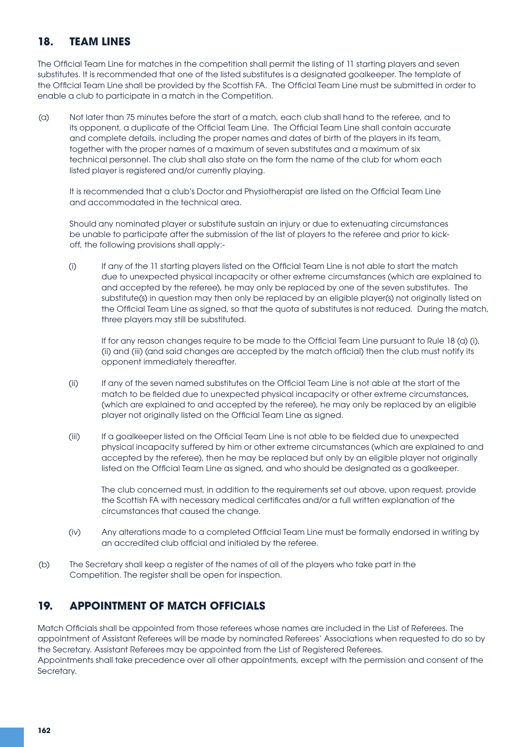# **18. TEAM LINES**

The Official Team Line for matches in the competition shall permit the listing of 11 starting players and seven substitutes. It is recommended that one of the listed substitutes is a designated goalkeeper. The template of the Official Team Line shall be provided by the Scottish FA. The Official Team Line must be submitted in order to enable a club to participate in a match in the Competition.

(a) Not later than 75 minutes before the start of a match, each club shall hand to the referee, and to its opponent, a duplicate of the Official Team Line. The Official Team Line shall contain accurate and complete details, including the proper names and dates of birth of the players in its team, together with the proper names of a maximum of seven substitutes and a maximum of six technical personnel. The club shall also state on the form the name of the club for whom each listed player is registered and/or currently playing.

 It is recommended that a club's Doctor and Physiotherapist are listed on the Official Team Line and accommodated in the technical area.

 Should any nominated player or substitute sustain an injury or due to extenuating circumstances be unable to participate after the submission of the list of players to the referee and prior to kick off, the following provisions shall apply:-

(i) If any of the 11 starting players listed on the Official Team Line is not able to start the match due to unexpected physical incapacity or other extreme circumstances (which are explained to and accepted by the referee), he may only be replaced by one of the seven substitutes. The substitute(s) in question may then only be replaced by an eligible player(s) not originally listed on the Official Team Line as signed, so that the quota of substitutes is not reduced. During the match, three players may still be substituted.

If for any reason changes require to be made to the Official Team Line pursuant to Rule 18 (a) (i), (ii) and (iii) (and said changes are accepted by the match official) then the club must notify its opponent immediately thereafter.

- (ii) If any of the seven named substitutes on the Official Team Line is not able at the start of the match to be fielded due to unexpected physical incapacity or other extreme circumstances, (which are explained to and accepted by the referee), he may only be replaced by an eligible player not originally listed on the Official Team Line as signed.
- (iii) If a goalkeeper listed on the Official Team Line is not able to be fielded due to unexpected physical incapacity suffered by him or other extreme circumstances (which are explained to and accepted by the referee), then he may be replaced but only by an eligible player not originally listed on the Official Team Line as signed, and who should be designated as a goalkeeper.

The club concerned must, in addition to the requirements set out above, upon request, provide the Scottish FA with necessary medical certificates and/or a full written explanation of the circumstances that caused the change.

- (iv) Any alterations made to a completed Official Team Line must be formally endorsed in writing by an accredited club official and initialed by the referee.
- (b) The Secretary shall keep a register of the names of all of the players who take part in the Competition. The register shall be open for inspection.

# **19. APPOINTMENT OF MATCH OFFICIALS**

Match Officials shall be appointed from those referees whose names are included in the List of Referees. The appointment of Assistant Referees will be made by nominated Referees' Associations when requested to do so by the Secretary. Assistant Referees may be appointed from the List of Registered Referees. Appointments shall take precedence over all other appointments, except with the permission and consent of the Secretary.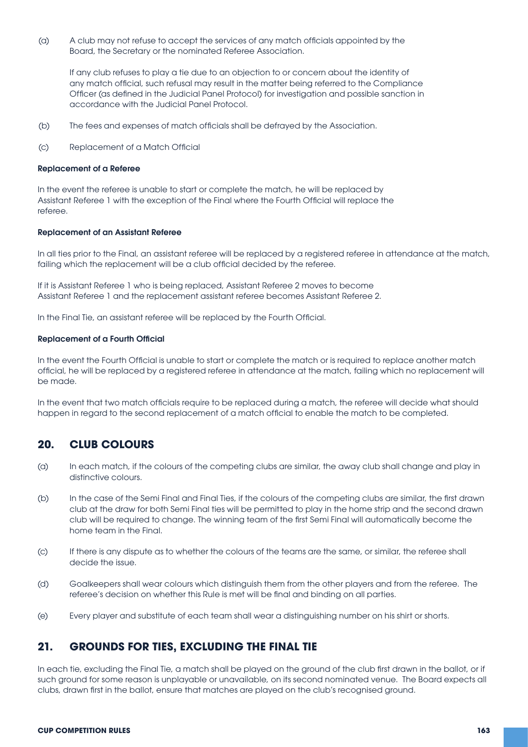(a) A club may not refuse to accept the services of any match officials appointed by the Board, the Secretary or the nominated Referee Association.

 If any club refuses to play a tie due to an objection to or concern about the identity of any match official, such refusal may result in the matter being referred to the Compliance Officer (as defined in the Judicial Panel Protocol) for investigation and possible sanction in accordance with the Judicial Panel Protocol.

- (b) The fees and expenses of match officials shall be defrayed by the Association.
- (c) Replacement of a Match Official

#### Replacement of a Referee

In the event the referee is unable to start or complete the match, he will be replaced by Assistant Referee 1 with the exception of the Final where the Fourth Official will replace the referee.

#### Replacement of an Assistant Referee

In all ties prior to the Final, an assistant referee will be replaced by a registered referee in attendance at the match, failing which the replacement will be a club official decided by the referee.

If it is Assistant Referee 1 who is being replaced, Assistant Referee 2 moves to become Assistant Referee 1 and the replacement assistant referee becomes Assistant Referee 2.

In the Final Tie, an assistant referee will be replaced by the Fourth Official.

#### Replacement of a Fourth Official

In the event the Fourth Official is unable to start or complete the match or is required to replace another match official, he will be replaced by a registered referee in attendance at the match, failing which no replacement will be made.

In the event that two match officials require to be replaced during a match, the referee will decide what should happen in regard to the second replacement of a match official to enable the match to be completed.

### **20. CLUB COLOURS**

- (a) In each match, if the colours of the competing clubs are similar, the away club shall change and play in distinctive colours.
- (b) In the case of the Semi Final and Final Ties, if the colours of the competing clubs are similar, the first drawn club at the draw for both Semi Final ties will be permitted to play in the home strip and the second drawn club will be required to change. The winning team of the first Semi Final will automatically become the home team in the Final.
- (c) If there is any dispute as to whether the colours of the teams are the same, or similar, the referee shall decide the issue.
- (d) Goalkeepers shall wear colours which distinguish them from the other players and from the referee. The referee's decision on whether this Rule is met will be final and binding on all parties.
- (e) Every player and substitute of each team shall wear a distinguishing number on his shirt or shorts.

#### **21. GROUNDS FOR TIES, EXCLUDING THE FINAL TIE**

In each tie, excluding the Final Tie, a match shall be played on the ground of the club first drawn in the ballot, or if such ground for some reason is unplayable or unavailable, on its second nominated venue. The Board expects all clubs, drawn first in the ballot, ensure that matches are played on the club's recognised ground.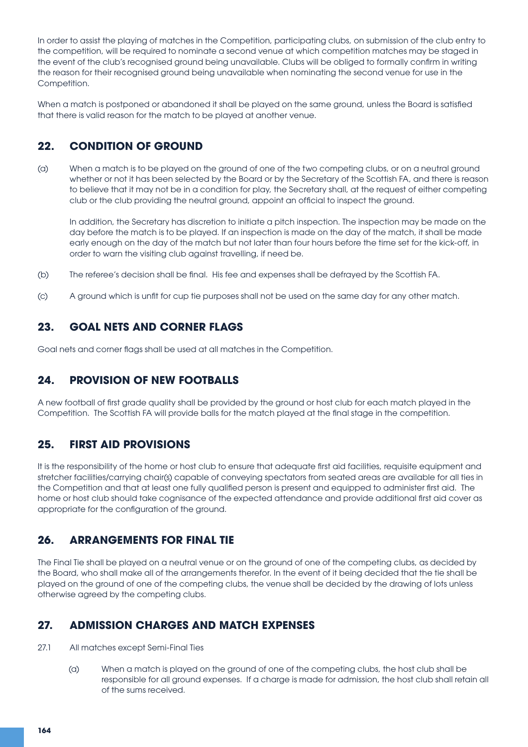In order to assist the playing of matches in the Competition, participating clubs, on submission of the club entry to the competition, will be required to nominate a second venue at which competition matches may be staged in the event of the club's recognised ground being unavailable. Clubs will be obliged to formally confirm in writing the reason for their recognised ground being unavailable when nominating the second venue for use in the Competition.

When a match is postponed or abandoned it shall be played on the same ground, unless the Board is satisfied that there is valid reason for the match to be played at another venue.

# **22. CONDITION OF GROUND**

(a) When a match is to be played on the ground of one of the two competing clubs, or on a neutral ground whether or not it has been selected by the Board or by the Secretary of the Scottish FA, and there is reason to believe that it may not be in a condition for play, the Secretary shall, at the request of either competing club or the club providing the neutral ground, appoint an official to inspect the ground.

 In addition, the Secretary has discretion to initiate a pitch inspection. The inspection may be made on the day before the match is to be played. If an inspection is made on the day of the match, it shall be made early enough on the day of the match but not later than four hours before the time set for the kick-off, in order to warn the visiting club against travelling, if need be.

- (b) The referee's decision shall be final. His fee and expenses shall be defrayed by the Scottish FA.
- (c) A ground which is unfit for cup tie purposes shall not be used on the same day for any other match.

# **23. GOAL NETS AND CORNER FLAGS**

Goal nets and corner flags shall be used at all matches in the Competition.

# **24. PROVISION OF NEW FOOTBALLS**

A new football of first grade quality shall be provided by the ground or host club for each match played in the Competition. The Scottish FA will provide balls for the match played at the final stage in the competition.

# **25. FIRST AID PROVISIONS**

It is the responsibility of the home or host club to ensure that adequate first aid facilities, requisite equipment and stretcher facilities/carrying chair(s) capable of conveying spectators from seated areas are available for all ties in the Competition and that at least one fully qualified person is present and equipped to administer first aid. The home or host club should take cognisance of the expected attendance and provide additional first aid cover as appropriate for the configuration of the ground.

# **26. ARRANGEMENTS FOR FINAL TIE**

The Final Tie shall be played on a neutral venue or on the ground of one of the competing clubs, as decided by the Board, who shall make all of the arrangements therefor. In the event of it being decided that the tie shall be played on the ground of one of the competing clubs, the venue shall be decided by the drawing of lots unless otherwise agreed by the competing clubs.

# **27. ADMISSION CHARGES AND MATCH EXPENSES**

- 27.1 All matches except Semi-Final Ties
	- (a) When a match is played on the ground of one of the competing clubs, the host club shall be responsible for all ground expenses. If a charge is made for admission, the host club shall retain all of the sums received.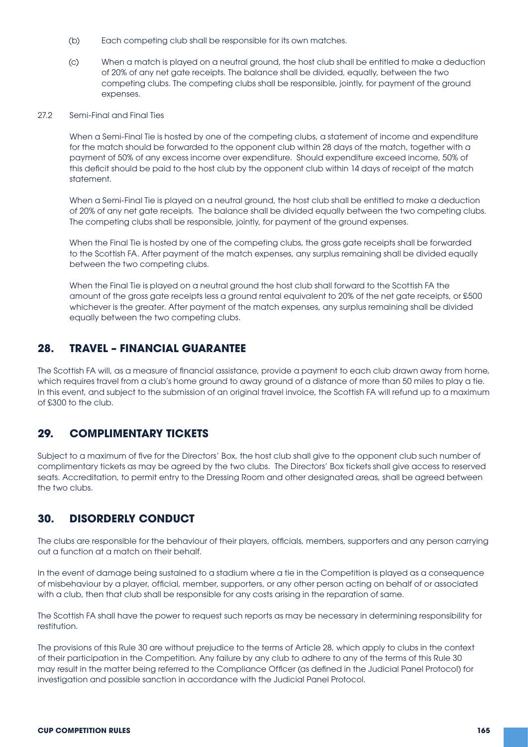- (b) Each competing club shall be responsible for its own matches.
- (c) When a match is played on a neutral ground, the host club shall be entitled to make a deduction of 20% of any net gate receipts. The balance shall be divided, equally, between the two competing clubs. The competing clubs shall be responsible, jointly, for payment of the ground expenses.
- 27.2 Semi-Final and Final Ties

When a Semi-Final Tie is hosted by one of the competing clubs, a statement of income and expenditure for the match should be forwarded to the opponent club within 28 days of the match, together with a payment of 50% of any excess income over expenditure. Should expenditure exceed income, 50% of this deficit should be paid to the host club by the opponent club within 14 days of receipt of the match statement.

 When a Semi-Final Tie is played on a neutral ground, the host club shall be entitled to make a deduction of 20% of any net gate receipts. The balance shall be divided equally between the two competing clubs. The competing clubs shall be responsible, jointly, for payment of the ground expenses.

 When the Final Tie is hosted by one of the competing clubs, the gross gate receipts shall be forwarded to the Scottish FA. After payment of the match expenses, any surplus remaining shall be divided equally between the two competing clubs.

 When the Final Tie is played on a neutral ground the host club shall forward to the Scottish FA the amount of the gross gate receipts less a ground rental equivalent to 20% of the net gate receipts, or £500 whichever is the greater. After payment of the match expenses, any surplus remaining shall be divided equally between the two competing clubs.

### **28. TRAVEL – FINANCIAL GUARANTEE**

The Scottish FA will, as a measure of financial assistance, provide a payment to each club drawn away from home, which requires travel from a club's home ground to away ground of a distance of more than 50 miles to play a tie. In this event, and subject to the submission of an original travel invoice, the Scottish FA will refund up to a maximum of £300 to the club.

#### **29. COMPLIMENTARY TICKETS**

Subject to a maximum of five for the Directors' Box, the host club shall give to the opponent club such number of complimentary tickets as may be agreed by the two clubs. The Directors' Box tickets shall give access to reserved seats. Accreditation, to permit entry to the Dressing Room and other designated areas, shall be agreed between the two clubs.

# **30. DISORDERLY CONDUCT**

The clubs are responsible for the behaviour of their players, officials, members, supporters and any person carrying out a function at a match on their behalf.

In the event of damage being sustained to a stadium where a tie in the Competition is played as a consequence of misbehaviour by a player, official, member, supporters, or any other person acting on behalf of or associated with a club, then that club shall be responsible for any costs arising in the reparation of same.

The Scottish FA shall have the power to request such reports as may be necessary in determining responsibility for restitution.

The provisions of this Rule 30 are without prejudice to the terms of Article 28, which apply to clubs in the context of their participation in the Competition. Any failure by any club to adhere to any of the terms of this Rule 30 may result in the matter being referred to the Compliance Officer (as defined in the Judicial Panel Protocol) for investigation and possible sanction in accordance with the Judicial Panel Protocol.